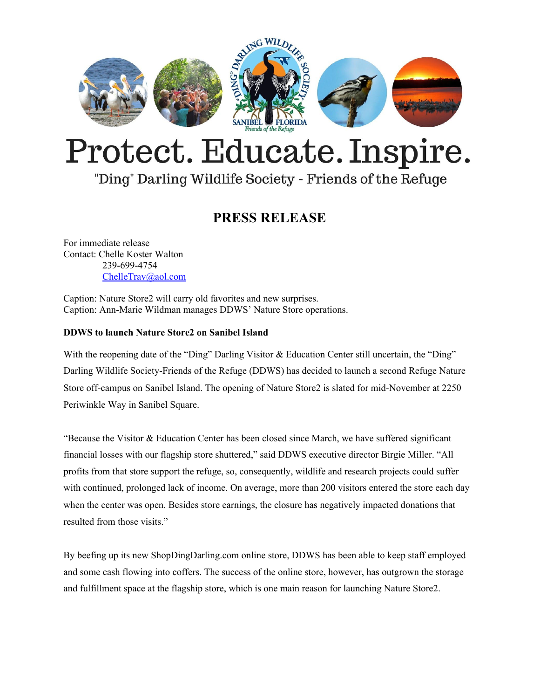

# Protect. Educate. Inspire.

## "Ding" Darling Wildlife Society - Friends of the Refuge

### **PRESS RELEASE**

For immediate release Contact: Chelle Koster Walton 239-699-4754 [ChelleTrav@aol.com](mailto:ChelleTrav@aol.com)

Caption: Nature Store2 will carry old favorites and new surprises. Caption: Ann-Marie Wildman manages DDWS' Nature Store operations.

#### **DDWS to launch Nature Store2 on Sanibel Island**

With the reopening date of the "Ding" Darling Visitor & Education Center still uncertain, the "Ding" Darling Wildlife Society-Friends of the Refuge (DDWS) has decided to launch a second Refuge Nature Store off-campus on Sanibel Island. The opening of Nature Store2 is slated for mid-November at 2250 Periwinkle Way in Sanibel Square.

"Because the Visitor & Education Center has been closed since March, we have suffered significant financial losses with our flagship store shuttered," said DDWS executive director Birgie Miller. "All profits from that store support the refuge, so, consequently, wildlife and research projects could suffer with continued, prolonged lack of income. On average, more than 200 visitors entered the store each day when the center was open. Besides store earnings, the closure has negatively impacted donations that resulted from those visits."

By beefing up its new ShopDingDarling.com online store, DDWS has been able to keep staff employed and some cash flowing into coffers. The success of the online store, however, has outgrown the storage and fulfillment space at the flagship store, which is one main reason for launching Nature Store2.